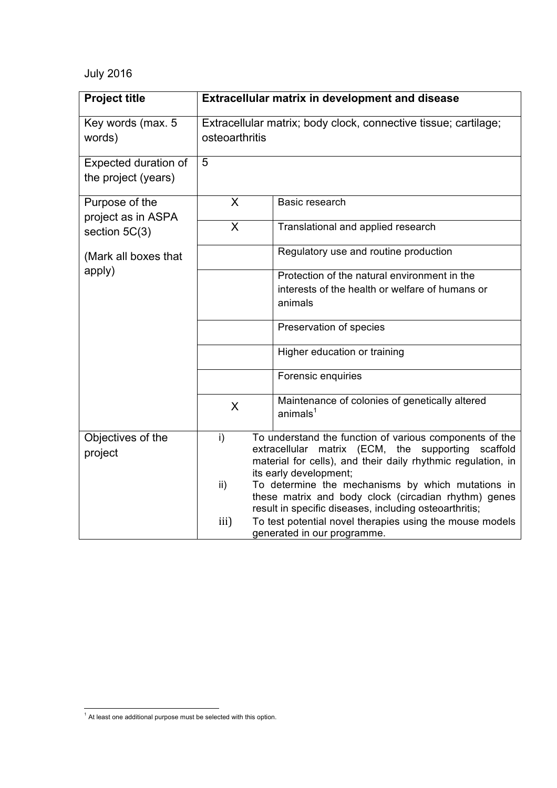## July 2016

| <b>Project title</b>                                    |                                                                                                                                                                                                                     | <b>Extracellular matrix in development and disease</b>                                                                                                              |
|---------------------------------------------------------|---------------------------------------------------------------------------------------------------------------------------------------------------------------------------------------------------------------------|---------------------------------------------------------------------------------------------------------------------------------------------------------------------|
| Key words (max. 5<br>words)                             | osteoarthritis                                                                                                                                                                                                      | Extracellular matrix; body clock, connective tissue; cartilage;                                                                                                     |
| Expected duration of<br>the project (years)             | 5                                                                                                                                                                                                                   |                                                                                                                                                                     |
| Purpose of the<br>project as in ASPA<br>section $5C(3)$ | X                                                                                                                                                                                                                   | Basic research                                                                                                                                                      |
|                                                         | $\overline{\sf X}$                                                                                                                                                                                                  | Translational and applied research                                                                                                                                  |
| (Mark all boxes that<br>apply)                          |                                                                                                                                                                                                                     | Regulatory use and routine production                                                                                                                               |
|                                                         |                                                                                                                                                                                                                     | Protection of the natural environment in the<br>interests of the health or welfare of humans or<br>animals                                                          |
|                                                         |                                                                                                                                                                                                                     | Preservation of species                                                                                                                                             |
|                                                         |                                                                                                                                                                                                                     | Higher education or training                                                                                                                                        |
|                                                         |                                                                                                                                                                                                                     | Forensic enquiries                                                                                                                                                  |
|                                                         | X                                                                                                                                                                                                                   | Maintenance of colonies of genetically altered<br>animals <sup>1</sup>                                                                                              |
| Objectives of the<br>project                            | i)<br>To understand the function of various components of the<br>matrix (ECM, the supporting<br>scaffold<br>extracellular<br>material for cells), and their daily rhythmic regulation, in<br>its early development; |                                                                                                                                                                     |
|                                                         | ii)                                                                                                                                                                                                                 | To determine the mechanisms by which mutations in<br>these matrix and body clock (circadian rhythm) genes<br>result in specific diseases, including osteoarthritis; |
|                                                         | iii)                                                                                                                                                                                                                | To test potential novel therapies using the mouse models<br>generated in our programme.                                                                             |

 $<sup>1</sup>$  At least one additional purpose must be selected with this option.</sup>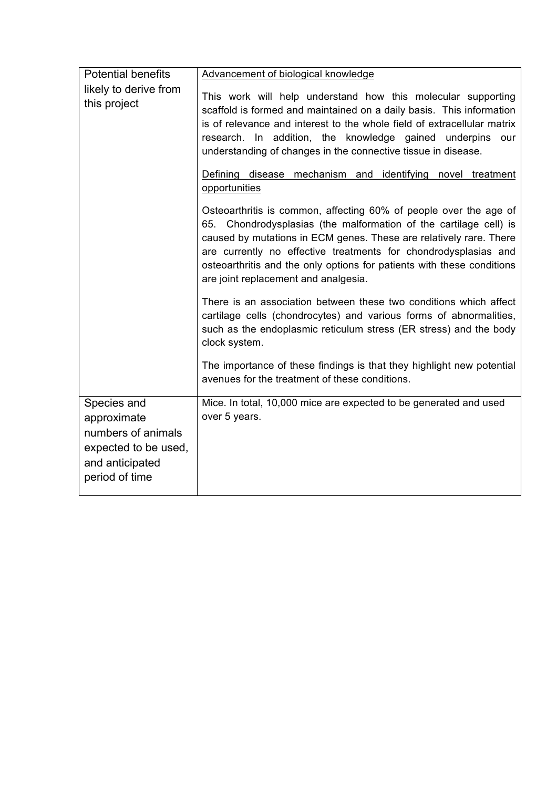| <b>Potential benefits</b>                                                                                     | Advancement of biological knowledge                                                                                                                                                                                                                                                                                                                                                                                             |
|---------------------------------------------------------------------------------------------------------------|---------------------------------------------------------------------------------------------------------------------------------------------------------------------------------------------------------------------------------------------------------------------------------------------------------------------------------------------------------------------------------------------------------------------------------|
| likely to derive from<br>this project                                                                         | This work will help understand how this molecular supporting<br>scaffold is formed and maintained on a daily basis. This information<br>is of relevance and interest to the whole field of extracellular matrix<br>research. In addition, the knowledge gained underpins<br>our<br>understanding of changes in the connective tissue in disease.<br>Defining disease mechanism and identifying novel treatment<br>opportunities |
|                                                                                                               | Osteoarthritis is common, affecting 60% of people over the age of<br>65. Chondrodysplasias (the malformation of the cartilage cell) is<br>caused by mutations in ECM genes. These are relatively rare. There<br>are currently no effective treatments for chondrodysplasias and<br>osteoarthritis and the only options for patients with these conditions<br>are joint replacement and analgesia.                               |
|                                                                                                               | There is an association between these two conditions which affect<br>cartilage cells (chondrocytes) and various forms of abnormalities,<br>such as the endoplasmic reticulum stress (ER stress) and the body<br>clock system.                                                                                                                                                                                                   |
|                                                                                                               | The importance of these findings is that they highlight new potential<br>avenues for the treatment of these conditions.                                                                                                                                                                                                                                                                                                         |
| Species and<br>approximate<br>numbers of animals<br>expected to be used,<br>and anticipated<br>period of time | Mice. In total, 10,000 mice are expected to be generated and used<br>over 5 years.                                                                                                                                                                                                                                                                                                                                              |
|                                                                                                               |                                                                                                                                                                                                                                                                                                                                                                                                                                 |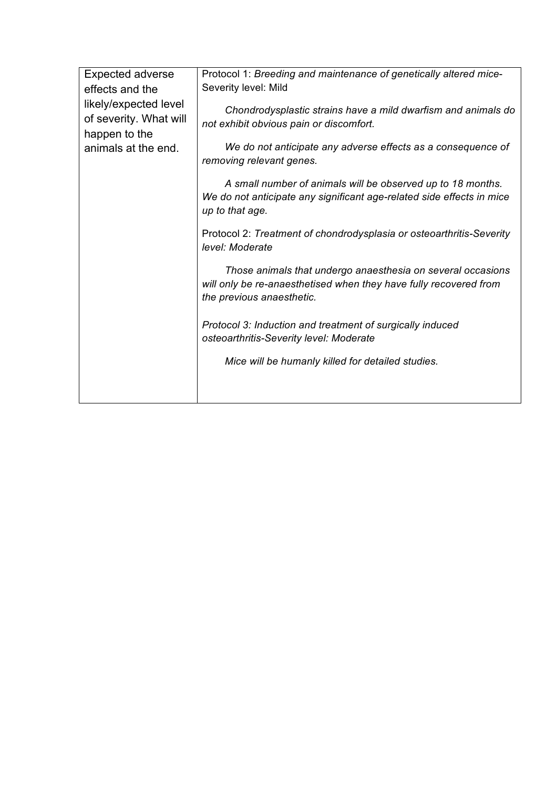| <b>Expected adverse</b><br>effects and the<br>likely/expected level<br>of severity. What will<br>happen to the<br>animals at the end. | Protocol 1: Breeding and maintenance of genetically altered mice-<br>Severity level: Mild                                                                     |
|---------------------------------------------------------------------------------------------------------------------------------------|---------------------------------------------------------------------------------------------------------------------------------------------------------------|
|                                                                                                                                       | Chondrodysplastic strains have a mild dwarfism and animals do<br>not exhibit obvious pain or discomfort.                                                      |
|                                                                                                                                       | We do not anticipate any adverse effects as a consequence of<br>removing relevant genes.                                                                      |
|                                                                                                                                       | A small number of animals will be observed up to 18 months.<br>We do not anticipate any significant age-related side effects in mice<br>up to that age.       |
|                                                                                                                                       | Protocol 2: Treatment of chondrodysplasia or osteoarthritis-Severity<br>level: Moderate                                                                       |
|                                                                                                                                       | Those animals that undergo anaesthesia on several occasions<br>will only be re-anaesthetised when they have fully recovered from<br>the previous anaesthetic. |
|                                                                                                                                       | Protocol 3: Induction and treatment of surgically induced<br>osteoarthritis-Severity level: Moderate                                                          |
|                                                                                                                                       | Mice will be humanly killed for detailed studies.                                                                                                             |
|                                                                                                                                       |                                                                                                                                                               |